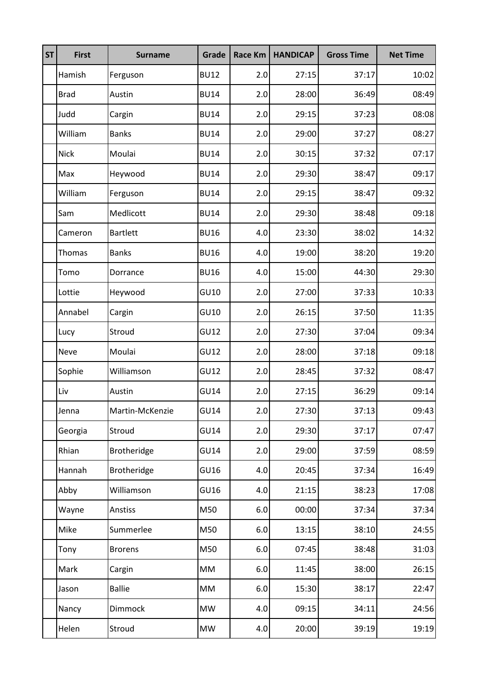| <b>ST</b> | <b>First</b> | <b>Surname</b>     | Grade       | <b>Race Km</b> | <b>HANDICAP</b> | <b>Gross Time</b> | <b>Net Time</b> |
|-----------|--------------|--------------------|-------------|----------------|-----------------|-------------------|-----------------|
|           | Hamish       | Ferguson           | <b>BU12</b> | 2.0            | 27:15           | 37:17             | 10:02           |
|           | <b>Brad</b>  | Austin             | <b>BU14</b> | 2.0            | 28:00           | 36:49             | 08:49           |
|           | Judd         | Cargin             | <b>BU14</b> | 2.0            | 29:15           | 37:23             | 08:08           |
|           | William      | <b>Banks</b>       | <b>BU14</b> | 2.0            | 29:00           | 37:27             | 08:27           |
|           | <b>Nick</b>  | Moulai             | <b>BU14</b> | 2.0            | 30:15           | 37:32             | 07:17           |
|           | Max          | Heywood            | <b>BU14</b> | 2.0            | 29:30           | 38:47             | 09:17           |
|           | William      | Ferguson           | <b>BU14</b> | 2.0            | 29:15           | 38:47             | 09:32           |
|           | Sam          | Medlicott          | <b>BU14</b> | 2.0            | 29:30           | 38:48             | 09:18           |
|           | Cameron      | <b>Bartlett</b>    | <b>BU16</b> | 4.0            | 23:30           | 38:02             | 14:32           |
|           | Thomas       | <b>Banks</b>       | <b>BU16</b> | 4.0            | 19:00           | 38:20             | 19:20           |
|           | Tomo         | Dorrance           | <b>BU16</b> | 4.0            | 15:00           | 44:30             | 29:30           |
|           | Lottie       | Heywood            | GU10        | 2.0            | 27:00           | 37:33             | 10:33           |
|           | Annabel      | Cargin             | GU10        | 2.0            | 26:15           | 37:50             | 11:35           |
|           | Lucy         | Stroud             | GU12        | 2.0            | 27:30           | 37:04             | 09:34           |
|           | <b>Neve</b>  | Moulai             | GU12        | 2.0            | 28:00           | 37:18             | 09:18           |
|           | Sophie       | Williamson         | GU12        | 2.0            | 28:45           | 37:32             | 08:47           |
|           | Liv          | Austin             | <b>GU14</b> | 2.0            | 27:15           | 36:29             | 09:14           |
|           | Jenna        | Martin-McKenzie    | <b>GU14</b> | 2.0            | 27:30           | 37:13             | 09:43           |
|           | Georgia      | Stroud             | <b>GU14</b> | 2.0            | 29:30           | 37:17             | 07:47           |
|           | Rhian        | Brotheridge        | <b>GU14</b> | 2.0            | 29:00           | 37:59             | 08:59           |
|           | Hannah       | <b>Brotheridge</b> | GU16        | 4.0            | 20:45           | 37:34             | 16:49           |
|           | Abby         | Williamson         | GU16        | 4.0            | 21:15           | 38:23             | 17:08           |
|           | Wayne        | Anstiss            | M50         | $6.0\,$        | 00:00           | 37:34             | 37:34           |
|           | Mike         | Summerlee          | M50         | $6.0\,$        | 13:15           | 38:10             | 24:55           |
|           | Tony         | <b>Brorens</b>     | M50         | $6.0\,$        | 07:45           | 38:48             | 31:03           |
|           | Mark         | Cargin             | MM          | $6.0\,$        | 11:45           | 38:00             | 26:15           |
|           | Jason        | <b>Ballie</b>      | MM          | $6.0\,$        | 15:30           | 38:17             | 22:47           |
|           | Nancy        | Dimmock            | <b>MW</b>   | 4.0            | 09:15           | 34:11             | 24:56           |
|           | Helen        | Stroud             | <b>MW</b>   | 4.0            | 20:00           | 39:19             | 19:19           |